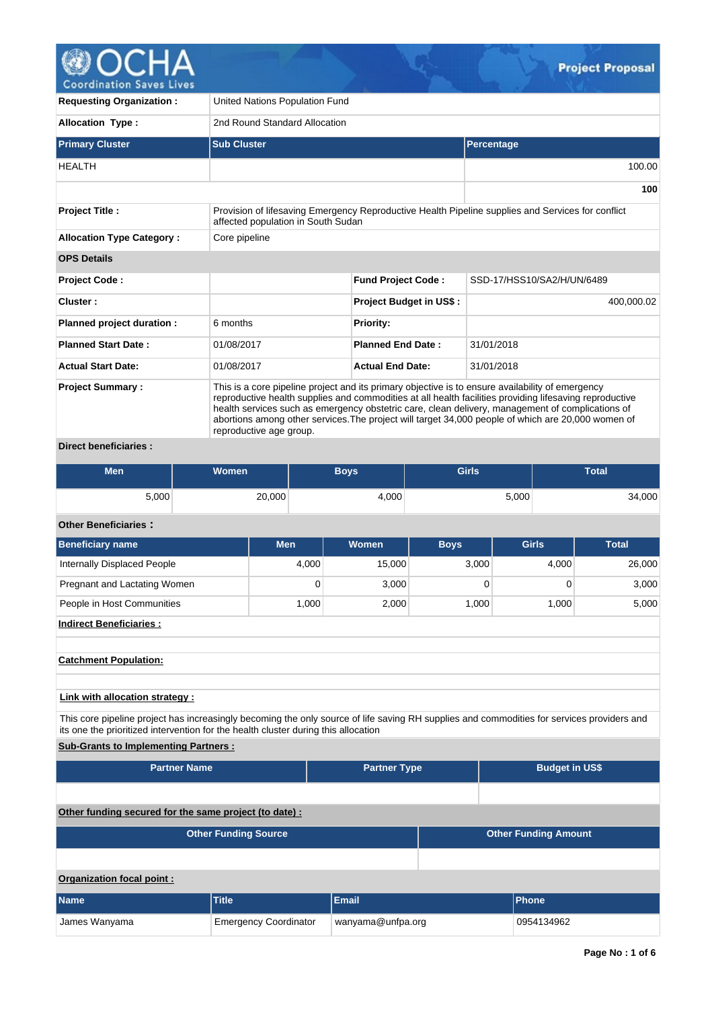

| <b>Requesting Organization:</b>  |                                                                                                                                                                                                                                                                                                                                                                                                                                                  | United Nations Population Fund |                                                                                                   |  |  |  |  |  |  |  |
|----------------------------------|--------------------------------------------------------------------------------------------------------------------------------------------------------------------------------------------------------------------------------------------------------------------------------------------------------------------------------------------------------------------------------------------------------------------------------------------------|--------------------------------|---------------------------------------------------------------------------------------------------|--|--|--|--|--|--|--|
| <b>Allocation Type:</b>          |                                                                                                                                                                                                                                                                                                                                                                                                                                                  | 2nd Round Standard Allocation  |                                                                                                   |  |  |  |  |  |  |  |
| <b>Primary Cluster</b>           | <b>Sub Cluster</b>                                                                                                                                                                                                                                                                                                                                                                                                                               |                                | Percentage                                                                                        |  |  |  |  |  |  |  |
| <b>HEALTH</b>                    |                                                                                                                                                                                                                                                                                                                                                                                                                                                  |                                | 100.00                                                                                            |  |  |  |  |  |  |  |
|                                  |                                                                                                                                                                                                                                                                                                                                                                                                                                                  |                                | 100                                                                                               |  |  |  |  |  |  |  |
| <b>Project Title:</b>            | affected population in South Sudan                                                                                                                                                                                                                                                                                                                                                                                                               |                                | Provision of lifesaving Emergency Reproductive Health Pipeline supplies and Services for conflict |  |  |  |  |  |  |  |
| <b>Allocation Type Category:</b> | Core pipeline                                                                                                                                                                                                                                                                                                                                                                                                                                    |                                |                                                                                                   |  |  |  |  |  |  |  |
| <b>OPS Details</b>               |                                                                                                                                                                                                                                                                                                                                                                                                                                                  |                                |                                                                                                   |  |  |  |  |  |  |  |
| <b>Project Code:</b>             |                                                                                                                                                                                                                                                                                                                                                                                                                                                  | <b>Fund Project Code:</b>      | SSD-17/HSS10/SA2/H/UN/6489                                                                        |  |  |  |  |  |  |  |
| Cluster:                         |                                                                                                                                                                                                                                                                                                                                                                                                                                                  | <b>Project Budget in US\$:</b> | 400,000.02                                                                                        |  |  |  |  |  |  |  |
| Planned project duration :       | 6 months                                                                                                                                                                                                                                                                                                                                                                                                                                         | <b>Priority:</b>               |                                                                                                   |  |  |  |  |  |  |  |
| <b>Planned Start Date:</b>       | 01/08/2017                                                                                                                                                                                                                                                                                                                                                                                                                                       | <b>Planned End Date:</b>       | 31/01/2018                                                                                        |  |  |  |  |  |  |  |
| <b>Actual Start Date:</b>        | <b>Actual End Date:</b><br>31/01/2018<br>01/08/2017                                                                                                                                                                                                                                                                                                                                                                                              |                                |                                                                                                   |  |  |  |  |  |  |  |
| <b>Project Summary:</b>          | This is a core pipeline project and its primary objective is to ensure availability of emergency<br>reproductive health supplies and commodities at all health facilities providing lifesaving reproductive<br>health services such as emergency obstetric care, clean delivery, management of complications of<br>abortions among other services. The project will target 34,000 people of which are 20,000 women of<br>reproductive age group. |                                |                                                                                                   |  |  |  |  |  |  |  |
| <b>Direct beneficiaries:</b>     |                                                                                                                                                                                                                                                                                                                                                                                                                                                  |                                |                                                                                                   |  |  |  |  |  |  |  |

| Men   | <b>Women</b> | <b>Boys</b> | Girls | <b>Total</b> |
|-------|--------------|-------------|-------|--------------|
| 5,000 | 20,000       | 4,000       | 5,000 | 34,000       |

# **Other Beneficiaries :**

| <b>Beneficiary name</b>                                                                                                                                                                                                          | <b>Men</b> | <b>Women</b> | <b>Boys</b> | <b>Girls</b> | <b>Total</b> |  |  |  |  |  |  |  |
|----------------------------------------------------------------------------------------------------------------------------------------------------------------------------------------------------------------------------------|------------|--------------|-------------|--------------|--------------|--|--|--|--|--|--|--|
| Internally Displaced People                                                                                                                                                                                                      | 4,000      | 15,000       | 3,000       | 4,000        | 26,000       |  |  |  |  |  |  |  |
| Pregnant and Lactating Women                                                                                                                                                                                                     | 0          | 3,000        | 0           | 0            | 3,000        |  |  |  |  |  |  |  |
| People in Host Communities                                                                                                                                                                                                       | 1,000      | 2,000        | 1,000       | 1,000        | 5,000        |  |  |  |  |  |  |  |
| <b>Indirect Beneficiaries:</b>                                                                                                                                                                                                   |            |              |             |              |              |  |  |  |  |  |  |  |
|                                                                                                                                                                                                                                  |            |              |             |              |              |  |  |  |  |  |  |  |
| <b>Catchment Population:</b>                                                                                                                                                                                                     |            |              |             |              |              |  |  |  |  |  |  |  |
| Link with allocation strategy :                                                                                                                                                                                                  |            |              |             |              |              |  |  |  |  |  |  |  |
| This core pipeline project has increasingly becoming the only source of life saving RH supplies and commodities for services providers and<br>its one the prioritized intervention for the health cluster during this allocation |            |              |             |              |              |  |  |  |  |  |  |  |

# **Sub-Grants to Implementing Partners :**

| <b>Partner Name</b>                                        |                              | <b>Partner Type</b> |            | <b>Budget in US\$</b> |  |  |  |  |
|------------------------------------------------------------|------------------------------|---------------------|------------|-----------------------|--|--|--|--|
|                                                            |                              |                     |            |                       |  |  |  |  |
| Other funding secured for the same project (to date) :     |                              |                     |            |                       |  |  |  |  |
| <b>Other Funding Source</b><br><b>Other Funding Amount</b> |                              |                     |            |                       |  |  |  |  |
|                                                            |                              |                     |            |                       |  |  |  |  |
| Organization focal point:                                  |                              |                     |            |                       |  |  |  |  |
| <b>Name</b>                                                | <b>Title</b>                 | Email               |            | Phone                 |  |  |  |  |
| James Wanyama                                              | <b>Emergency Coordinator</b> | wanyama@unfpa.org   | 0954134962 |                       |  |  |  |  |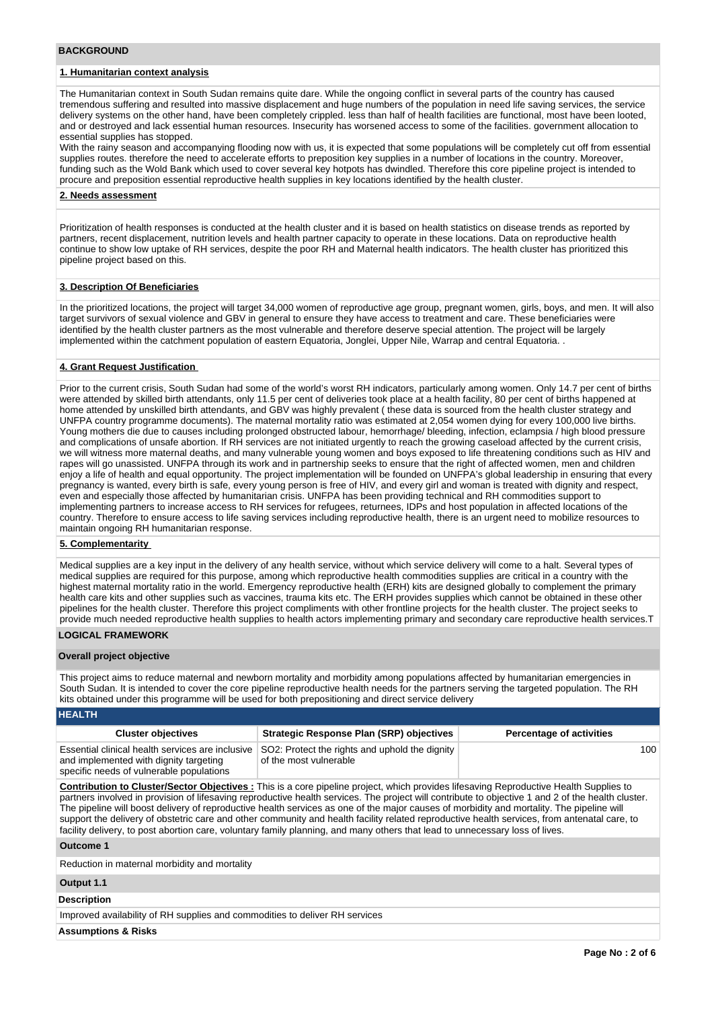#### **BACKGROUND**

# **1. Humanitarian context analysis**

The Humanitarian context in South Sudan remains quite dare. While the ongoing conflict in several parts of the country has caused tremendous suffering and resulted into massive displacement and huge numbers of the population in need life saving services, the service delivery systems on the other hand, have been completely crippled. less than half of health facilities are functional, most have been looted, and or destroyed and lack essential human resources. Insecurity has worsened access to some of the facilities. government allocation to essential supplies has stopped.

With the rainy season and accompanying flooding now with us, it is expected that some populations will be completely cut off from essential supplies routes. therefore the need to accelerate efforts to preposition key supplies in a number of locations in the country. Moreover, funding such as the Wold Bank which used to cover several key hotpots has dwindled. Therefore this core pipeline project is intended to procure and preposition essential reproductive health supplies in key locations identified by the health cluster.

#### **2. Needs assessment**

Prioritization of health responses is conducted at the health cluster and it is based on health statistics on disease trends as reported by partners, recent displacement, nutrition levels and health partner capacity to operate in these locations. Data on reproductive health continue to show low uptake of RH services, despite the poor RH and Maternal health indicators. The health cluster has prioritized this pipeline project based on this.

#### **3. Description Of Beneficiaries**

In the prioritized locations, the project will target 34,000 women of reproductive age group, pregnant women, girls, boys, and men. It will also target survivors of sexual violence and GBV in general to ensure they have access to treatment and care. These beneficiaries were identified by the health cluster partners as the most vulnerable and therefore deserve special attention. The project will be largely implemented within the catchment population of eastern Equatoria, Jonglei, Upper Nile, Warrap and central Equatoria. .

#### **4. Grant Request Justification**

Prior to the current crisis, South Sudan had some of the world's worst RH indicators, particularly among women. Only 14.7 per cent of births were attended by skilled birth attendants, only 11.5 per cent of deliveries took place at a health facility, 80 per cent of births happened at home attended by unskilled birth attendants, and GBV was highly prevalent ( these data is sourced from the health cluster strategy and UNFPA country programme documents). The maternal mortality ratio was estimated at 2,054 women dying for every 100,000 live births. Young mothers die due to causes including prolonged obstructed labour, hemorrhage/ bleeding, infection, eclampsia / high blood pressure and complications of unsafe abortion. If RH services are not initiated urgently to reach the growing caseload affected by the current crisis, we will witness more maternal deaths, and many vulnerable young women and boys exposed to life threatening conditions such as HIV and rapes will go unassisted. UNFPA through its work and in partnership seeks to ensure that the right of affected women, men and children enjoy a life of health and equal opportunity. The project implementation will be founded on UNFPA's global leadership in ensuring that every pregnancy is wanted, every birth is safe, every young person is free of HIV, and every girl and woman is treated with dignity and respect, even and especially those affected by humanitarian crisis. UNFPA has been providing technical and RH commodities support to implementing partners to increase access to RH services for refugees, returnees, IDPs and host population in affected locations of the country. Therefore to ensure access to life saving services including reproductive health, there is an urgent need to mobilize resources to maintain ongoing RH humanitarian response.

#### **5. Complementarity**

Medical supplies are a key input in the delivery of any health service, without which service delivery will come to a halt. Several types of medical supplies are required for this purpose, among which reproductive health commodities supplies are critical in a country with the highest maternal mortality ratio in the world. Emergency reproductive health (ERH) kits are designed globally to complement the primary health care kits and other supplies such as vaccines, trauma kits etc. The ERH provides supplies which cannot be obtained in these other pipelines for the health cluster. Therefore this project compliments with other frontline projects for the health cluster. The project seeks to provide much needed reproductive health supplies to health actors implementing primary and secondary care reproductive health services.T

# **LOGICAL FRAMEWORK**

#### **Overall project objective**

This project aims to reduce maternal and newborn mortality and morbidity among populations affected by humanitarian emergencies in South Sudan. It is intended to cover the core pipeline reproductive health needs for the partners serving the targeted population. The RH kits obtained under this programme will be used for both prepositioning and direct service delivery

| <b>HEALTH</b>                                                                                                                          |                                                                          |                                 |
|----------------------------------------------------------------------------------------------------------------------------------------|--------------------------------------------------------------------------|---------------------------------|
| <b>Cluster objectives</b>                                                                                                              | Strategic Response Plan (SRP) objectives                                 | <b>Percentage of activities</b> |
| Essential clinical health services are inclusive<br>and implemented with dignity targeting<br>specific needs of vulnerable populations | SO2: Protect the rights and uphold the dignity<br>of the most vulnerable | 100                             |

**Contribution to Cluster/Sector Objectives :** This is a core pipeline project, which provides lifesaving Reproductive Health Supplies to partners involved in provision of lifesaving reproductive health services. The project will contribute to objective 1 and 2 of the health cluster. The pipeline will boost delivery of reproductive health services as one of the major causes of morbidity and mortality. The pipeline will support the delivery of obstetric care and other community and health facility related reproductive health services, from antenatal care, to facility delivery, to post abortion care, voluntary family planning, and many others that lead to unnecessary loss of lives.

#### **Outcome 1**

Reduction in maternal morbidity and mortality

# **Output 1.1**

#### **Description**

Improved availability of RH supplies and commodities to deliver RH services

**Assumptions & Risks**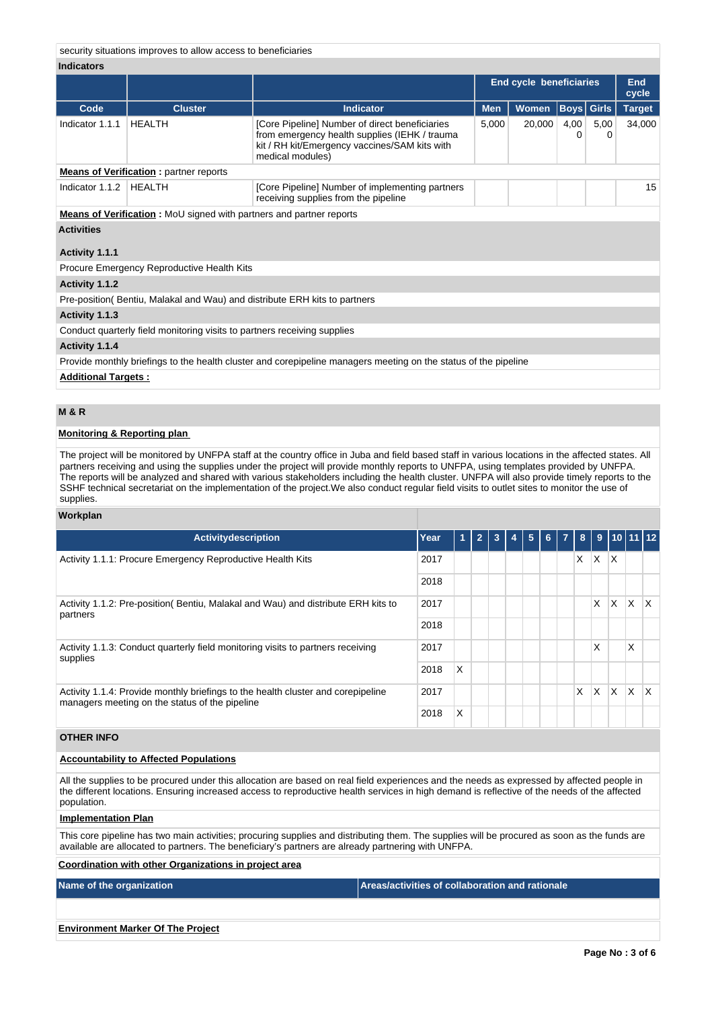security situations improves to allow access to beneficiaries

#### **Indicators**

|                                                                          |                                                                     |                                                                                                                                                                      | <b>End cycle beneficiaries</b> | <b>End</b><br>cycle |                   |               |        |  |  |
|--------------------------------------------------------------------------|---------------------------------------------------------------------|----------------------------------------------------------------------------------------------------------------------------------------------------------------------|--------------------------------|---------------------|-------------------|---------------|--------|--|--|
| Code                                                                     | <b>Cluster</b>                                                      | <b>Indicator</b>                                                                                                                                                     | <b>Men</b>                     | Women               | <b>Boys Girls</b> | <b>Target</b> |        |  |  |
| Indicator 1.1.1                                                          | <b>HEALTH</b>                                                       | [Core Pipeline] Number of direct beneficiaries<br>from emergency health supplies (IEHK / trauma<br>kit / RH kit/Emergency vaccines/SAM kits with<br>medical modules) | 5,000                          | 20,000              | 4,00<br>0         | 5,00<br>0     | 34,000 |  |  |
|                                                                          | <b>Means of Verification:</b> partner reports                       |                                                                                                                                                                      |                                |                     |                   |               |        |  |  |
| Indicator 1.1.2                                                          | HEALTH                                                              | [Core Pipeline] Number of implementing partners<br>receiving supplies from the pipeline                                                                              |                                |                     |                   |               |        |  |  |
|                                                                          | Means of Verification: MoU signed with partners and partner reports |                                                                                                                                                                      |                                |                     |                   |               |        |  |  |
| <b>Activities</b>                                                        |                                                                     |                                                                                                                                                                      |                                |                     |                   |               |        |  |  |
| Activity 1.1.1                                                           |                                                                     |                                                                                                                                                                      |                                |                     |                   |               |        |  |  |
|                                                                          | Procure Emergency Reproductive Health Kits                          |                                                                                                                                                                      |                                |                     |                   |               |        |  |  |
| Activity 1.1.2                                                           |                                                                     |                                                                                                                                                                      |                                |                     |                   |               |        |  |  |
|                                                                          |                                                                     | Pre-position (Bentiu, Malakal and Wau) and distribute ERH kits to partners                                                                                           |                                |                     |                   |               |        |  |  |
| Activity 1.1.3                                                           |                                                                     |                                                                                                                                                                      |                                |                     |                   |               |        |  |  |
| Conduct quarterly field monitoring visits to partners receiving supplies |                                                                     |                                                                                                                                                                      |                                |                     |                   |               |        |  |  |
| Activity 1.1.4                                                           |                                                                     |                                                                                                                                                                      |                                |                     |                   |               |        |  |  |
|                                                                          |                                                                     | Provide monthly briefings to the health cluster and corepipeline managers meeting on the status of the pipeline                                                      |                                |                     |                   |               |        |  |  |
| <b>Additional Targets:</b>                                               |                                                                     |                                                                                                                                                                      |                                |                     |                   |               |        |  |  |

#### **M & R**

#### **Monitoring & Reporting plan**

The project will be monitored by UNFPA staff at the country office in Juba and field based staff in various locations in the affected states. All partners receiving and using the supplies under the project will provide monthly reports to UNFPA, using templates provided by UNFPA. The reports will be analyzed and shared with various stakeholders including the health cluster. UNFPA will also provide timely reports to the SSHF technical secretariat on the implementation of the project.We also conduct regular field visits to outlet sites to monitor the use of supplies.

#### **Workplan**

| <b>Activitydescription</b>                                                                                                         | Year | -1 | $\overline{2}$ | 3 | 4 | 5 | 6 <sup>1</sup> | $\overline{7}$ | 8 |    |          | 9   10   11   12 |              |
|------------------------------------------------------------------------------------------------------------------------------------|------|----|----------------|---|---|---|----------------|----------------|---|----|----------|------------------|--------------|
| Activity 1.1.1: Procure Emergency Reproductive Health Kits                                                                         | 2017 |    |                |   |   |   |                |                | X | X. | ΙX.      |                  |              |
|                                                                                                                                    | 2018 |    |                |   |   |   |                |                |   |    |          |                  |              |
| Activity 1.1.2: Pre-position (Bentiu, Malakal and Wau) and distribute ERH kits to<br>partners                                      |      |    |                |   |   |   |                |                |   | X  | $\times$ | <b>X</b>         | $\mathsf{X}$ |
|                                                                                                                                    | 2018 |    |                |   |   |   |                |                |   |    |          |                  |              |
| Activity 1.1.3: Conduct quarterly field monitoring visits to partners receiving<br>supplies                                        | 2017 |    |                |   |   |   |                |                |   | X  |          | X                |              |
|                                                                                                                                    | 2018 | X  |                |   |   |   |                |                |   |    |          |                  |              |
| Activity 1.1.4: Provide monthly briefings to the health cluster and corepipeline<br>managers meeting on the status of the pipeline |      |    |                |   |   |   |                |                | X | X  | X        | $\times$         | X            |
|                                                                                                                                    | 2018 | X  |                |   |   |   |                |                |   |    |          |                  |              |

# **OTHER INFO**

#### **Accountability to Affected Populations**

All the supplies to be procured under this allocation are based on real field experiences and the needs as expressed by affected people in the different locations. Ensuring increased access to reproductive health services in high demand is reflective of the needs of the affected population.

#### **Implementation Plan**

This core pipeline has two main activities; procuring supplies and distributing them. The supplies will be procured as soon as the funds are available are allocated to partners. The beneficiary's partners are already partnering with UNFPA.

# **Coordination with other Organizations in project area**

**Name of the organization Areas/activities of collaboration and rationale** 

**Environment Marker Of The Project**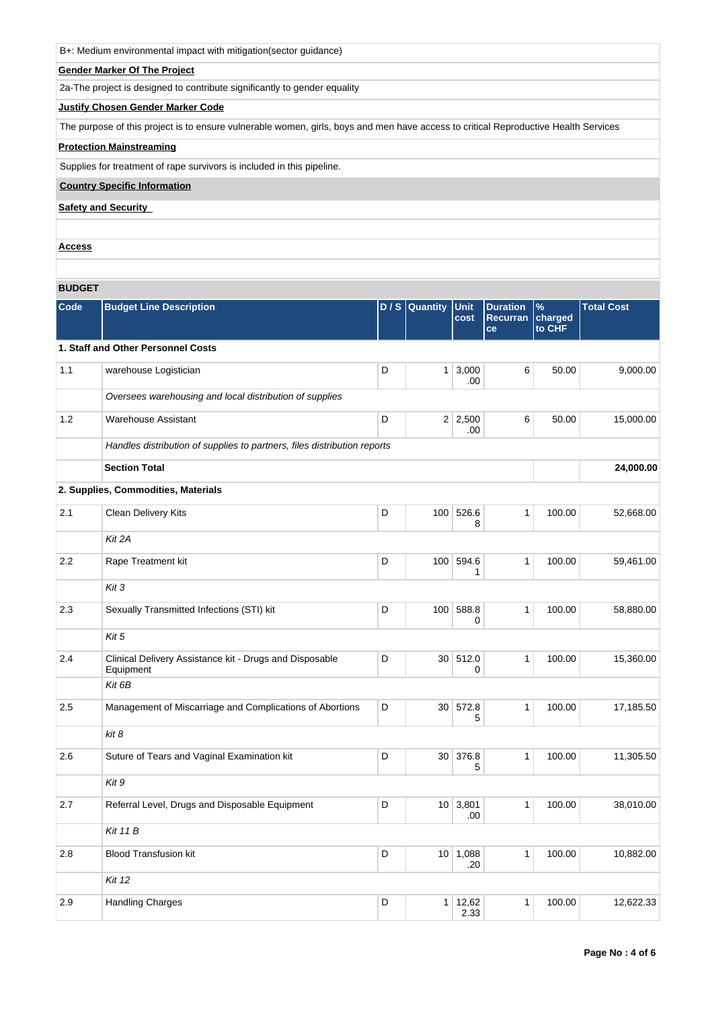| B+: Medium environmental impact with mitigation(sector guidance) |  |  |
|------------------------------------------------------------------|--|--|
|------------------------------------------------------------------|--|--|

## **Gender Marker Of The Project**

2a-The project is designed to contribute significantly to gender equality

## **Justify Chosen Gender Marker Code**

The purpose of this project is to ensure vulnerable women, girls, boys and men have access to critical Reproductive Health Services

# **Protection Mainstreaming**

Supplies for treatment of rape survivors is included in this pipeline.

**Country Specific Information**

**Safety and Security** 

**Access**

# **BUDGET**

| Code | <b>Budget Line Description</b>                                           | D/S | Quantity        | <b>Unit</b><br>cost   | <b>Duration</b><br><b>Recurran</b><br>ce | $\%$<br>charged<br>to CHF | <b>Total Cost</b> |
|------|--------------------------------------------------------------------------|-----|-----------------|-----------------------|------------------------------------------|---------------------------|-------------------|
|      | 1. Staff and Other Personnel Costs                                       |     |                 |                       |                                          |                           |                   |
| 1.1  | warehouse Logistician                                                    | D   | 1               | 3,000<br>.00          | 6                                        | 50.00                     | 9,000.00          |
|      | Oversees warehousing and local distribution of supplies                  |     |                 |                       |                                          |                           |                   |
| 1.2  | <b>Warehouse Assistant</b>                                               | D   |                 | $2 \mid 2,500$<br>.00 | 6                                        | 50.00                     | 15,000.00         |
|      | Handles distribution of supplies to partners, files distribution reports |     |                 |                       |                                          |                           |                   |
|      | <b>Section Total</b>                                                     |     |                 |                       |                                          |                           | 24,000.00         |
|      | 2. Supplies, Commodities, Materials                                      |     |                 |                       |                                          |                           |                   |
| 2.1  | Clean Delivery Kits                                                      | D   | 100             | 526.6<br>8            | $\mathbf{1}$                             | 100.00                    | 52,668.00         |
|      | Kit 2A                                                                   |     |                 |                       |                                          |                           |                   |
| 2.2  | Rape Treatment kit                                                       | D   |                 | 100 594.6<br>1        | $\mathbf{1}$                             | 100.00                    | 59,461.00         |
|      | Kit 3                                                                    |     |                 |                       |                                          |                           |                   |
| 2.3  | Sexually Transmitted Infections (STI) kit                                | D   | 100             | 588.8<br>0            | $\mathbf{1}$                             | 100.00                    | 58,880.00         |
|      | Kit 5                                                                    |     |                 |                       |                                          |                           |                   |
| 2.4  | Clinical Delivery Assistance kit - Drugs and Disposable<br>Equipment     | D   | 30 <sup>1</sup> | 512.0<br>0            | $\mathbf{1}$                             | 100.00                    | 15,360.00         |
|      | Kit 6B                                                                   |     |                 |                       |                                          |                           |                   |
| 2.5  | Management of Miscarriage and Complications of Abortions                 | D   | 30 <sup>1</sup> | 572.8<br>5            | $\mathbf{1}$                             | 100.00                    | 17,185.50         |
|      | kit 8                                                                    |     |                 |                       |                                          |                           |                   |
| 2.6  | Suture of Tears and Vaginal Examination kit                              | D   | 30 <sup>1</sup> | 376.8<br>5            | $\mathbf{1}$                             | 100.00                    | 11,305.50         |
|      | Kit 9                                                                    |     |                 |                       |                                          |                           |                   |
| 2.7  | Referral Level, Drugs and Disposable Equipment                           | D   | 10 <sup>1</sup> | 3,801<br>.00          | $\mathbf{1}$                             | 100.00                    | 38,010.00         |
|      | <b>Kit 11 B</b>                                                          |     |                 |                       |                                          |                           |                   |
| 2.8  | <b>Blood Transfusion kit</b>                                             | D   | 10 <sup>1</sup> | 1,088<br>.20          | $\mathbf{1}$                             | 100.00                    | 10,882.00         |
|      | <b>Kit 12</b>                                                            |     |                 |                       |                                          |                           |                   |
| 2.9  | <b>Handling Charges</b>                                                  | D   | 1 <sup>1</sup>  | 12,62<br>2.33         | $\mathbf{1}$                             | 100.00                    | 12,622.33         |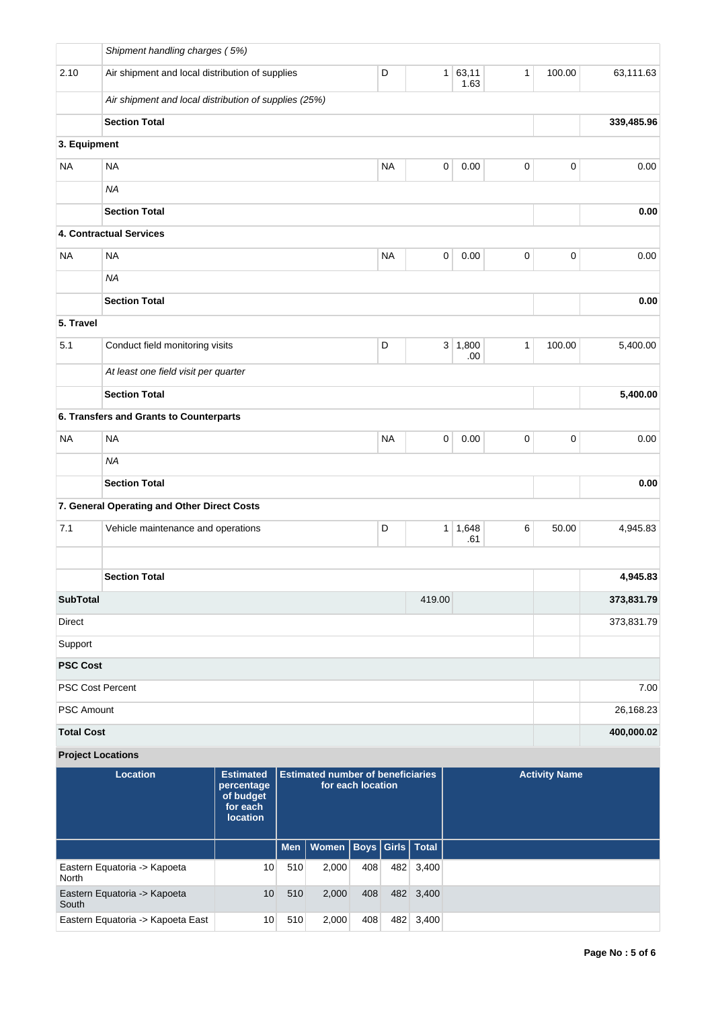|                          | Shipment handling charges (5%)                        |                                                                            |     |                                          |                   |           |                      |                  |              |                      |            |
|--------------------------|-------------------------------------------------------|----------------------------------------------------------------------------|-----|------------------------------------------|-------------------|-----------|----------------------|------------------|--------------|----------------------|------------|
| 2.10                     | Air shipment and local distribution of supplies       |                                                                            |     |                                          |                   | D         | 1                    | 63,11<br>1.63    | $\mathbf{1}$ | 100.00               | 63,111.63  |
|                          | Air shipment and local distribution of supplies (25%) |                                                                            |     |                                          |                   |           |                      |                  |              |                      |            |
|                          | <b>Section Total</b>                                  |                                                                            |     |                                          |                   |           |                      |                  |              |                      | 339,485.96 |
| 3. Equipment             |                                                       |                                                                            |     |                                          |                   |           |                      |                  |              |                      |            |
| <b>NA</b>                | <b>NA</b>                                             |                                                                            |     |                                          |                   | <b>NA</b> | $\pmb{0}$            | 0.00             | $\pmb{0}$    | $\pmb{0}$            | 0.00       |
|                          | <b>NA</b>                                             |                                                                            |     |                                          |                   |           |                      |                  |              |                      |            |
|                          | <b>Section Total</b>                                  |                                                                            |     |                                          |                   |           |                      |                  |              |                      | 0.00       |
|                          | 4. Contractual Services                               |                                                                            |     |                                          |                   |           |                      |                  |              |                      |            |
| NA                       | <b>NA</b>                                             |                                                                            |     |                                          |                   | <b>NA</b> | $\pmb{0}$            | 0.00             | 0            | $\pmb{0}$            | 0.00       |
|                          | <b>NA</b>                                             |                                                                            |     |                                          |                   |           |                      |                  |              |                      |            |
|                          | <b>Section Total</b>                                  |                                                                            |     |                                          |                   |           |                      |                  |              |                      | 0.00       |
| 5. Travel                |                                                       |                                                                            |     |                                          |                   |           |                      |                  |              |                      |            |
| 5.1                      | Conduct field monitoring visits                       |                                                                            |     |                                          |                   | D         |                      | 3   1,800<br>.00 | $\mathbf{1}$ | 100.00               | 5,400.00   |
|                          | At least one field visit per quarter                  |                                                                            |     |                                          |                   |           |                      |                  |              |                      |            |
|                          | <b>Section Total</b>                                  |                                                                            |     |                                          |                   |           |                      |                  |              |                      | 5,400.00   |
|                          | 6. Transfers and Grants to Counterparts               |                                                                            |     |                                          |                   |           |                      |                  |              |                      |            |
| <b>NA</b>                | <b>NA</b>                                             |                                                                            |     |                                          |                   | <b>NA</b> | $\mathbf 0$          | 0.00             | $\pmb{0}$    | 0                    | 0.00       |
|                          | <b>NA</b>                                             |                                                                            |     |                                          |                   |           |                      |                  |              |                      |            |
|                          | <b>Section Total</b>                                  |                                                                            |     |                                          |                   |           |                      |                  |              |                      | 0.00       |
|                          | 7. General Operating and Other Direct Costs           |                                                                            |     |                                          |                   |           |                      |                  |              |                      |            |
| 7.1                      | Vehicle maintenance and operations                    |                                                                            |     |                                          |                   | D         | $\mathbf{1}$         | 1,648<br>.61     | 6            | 50.00                | 4,945.83   |
|                          |                                                       |                                                                            |     |                                          |                   |           |                      |                  |              |                      |            |
|                          | <b>Section Total</b>                                  |                                                                            |     |                                          |                   |           |                      |                  |              |                      | 4,945.83   |
| <b>SubTotal</b>          |                                                       |                                                                            |     |                                          |                   |           | 419.00               |                  |              |                      | 373,831.79 |
| <b>Direct</b>            |                                                       |                                                                            |     |                                          |                   |           |                      |                  |              |                      | 373,831.79 |
| Support                  |                                                       |                                                                            |     |                                          |                   |           |                      |                  |              |                      |            |
| <b>PSC Cost</b>          |                                                       |                                                                            |     |                                          |                   |           |                      |                  |              |                      |            |
| PSC Cost Percent         |                                                       |                                                                            |     |                                          |                   |           |                      |                  |              |                      | 7.00       |
| <b>PSC Amount</b>        |                                                       |                                                                            |     |                                          |                   |           |                      |                  |              |                      | 26,168.23  |
| <b>Total Cost</b>        |                                                       |                                                                            |     |                                          |                   |           |                      |                  |              |                      | 400,000.02 |
| <b>Project Locations</b> |                                                       |                                                                            |     |                                          |                   |           |                      |                  |              |                      |            |
|                          | <b>Location</b>                                       | <b>Estimated</b><br>percentage<br>of budget<br>for each<br><b>location</b> |     | <b>Estimated number of beneficiaries</b> | for each location |           |                      |                  |              | <b>Activity Name</b> |            |
|                          |                                                       |                                                                            | Men | Women                                    |                   |           | Boys   Girls   Total |                  |              |                      |            |
| North                    | Eastern Equatoria -> Kapoeta                          | 10                                                                         | 510 | 2,000                                    | 408               | 482       | 3,400                |                  |              |                      |            |
| South                    | Eastern Equatoria -> Kapoeta                          | 10                                                                         | 510 | 2,000                                    | 408               |           | 482 3,400            |                  |              |                      |            |
|                          | Eastern Equatoria -> Kapoeta East                     | 10 <sub>1</sub>                                                            | 510 | 2,000                                    | 408               |           | 482 3,400            |                  |              |                      |            |